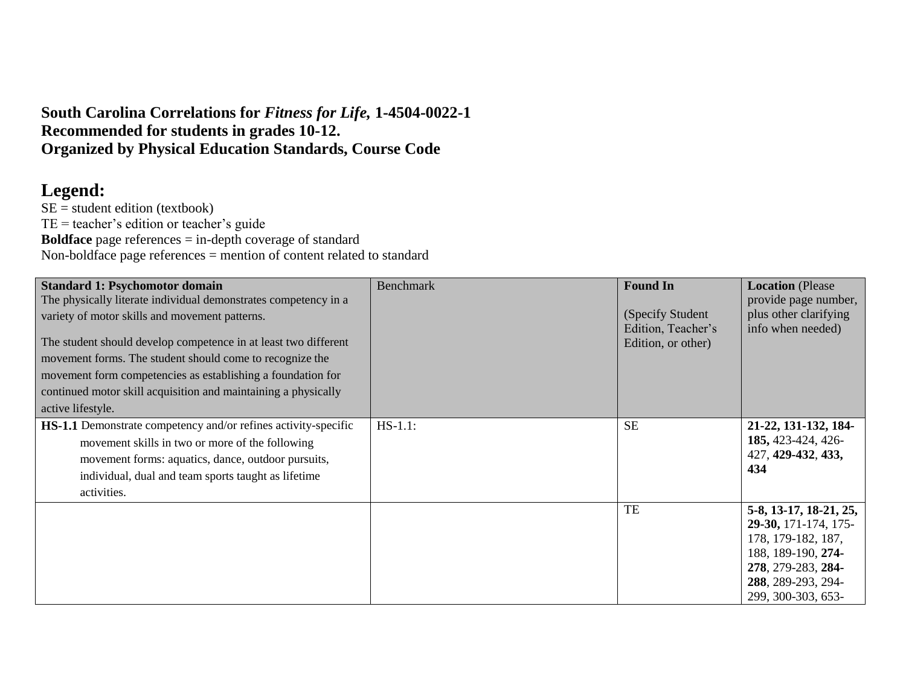## **South Carolina Correlations for** *Fitness for Life,* **1-4504-0022-1 Recommended for students in grades 10-12. Organized by Physical Education Standards, Course Code**

## **Legend:**

 $SE$  = student edition (textbook) TE = teacher's edition or teacher's guide **Boldface** page references = in-depth coverage of standard Non-boldface page references = mention of content related to standard

| <b>Standard 1: Psychomotor domain</b><br>The physically literate individual demonstrates competency in a<br>variety of motor skills and movement patterns.<br>The student should develop competence in at least two different<br>movement forms. The student should come to recognize the<br>movement form competencies as establishing a foundation for<br>continued motor skill acquisition and maintaining a physically<br>active lifestyle. | <b>Benchmark</b> | <b>Found In</b><br>(Specify Student)<br>Edition, Teacher's<br>Edition, or other) | <b>Location</b> (Please<br>provide page number,<br>plus other clarifying<br>info when needed)                                                                |
|-------------------------------------------------------------------------------------------------------------------------------------------------------------------------------------------------------------------------------------------------------------------------------------------------------------------------------------------------------------------------------------------------------------------------------------------------|------------------|----------------------------------------------------------------------------------|--------------------------------------------------------------------------------------------------------------------------------------------------------------|
| HS-1.1 Demonstrate competency and/or refines activity-specific<br>movement skills in two or more of the following<br>movement forms: aquatics, dance, outdoor pursuits,<br>individual, dual and team sports taught as lifetime<br>activities.                                                                                                                                                                                                   | $HS-1.1$ :       | <b>SE</b>                                                                        | 21-22, 131-132, 184-<br>185, 423-424, 426-<br>427, 429-432, 433,<br>434                                                                                      |
|                                                                                                                                                                                                                                                                                                                                                                                                                                                 |                  | TE                                                                               | 5-8, 13-17, 18-21, 25,<br>29-30, 171-174, 175-<br>178, 179-182, 187,<br>188, 189-190, 274-<br>278, 279-283, 284-<br>288, 289-293, 294-<br>299, 300-303, 653- |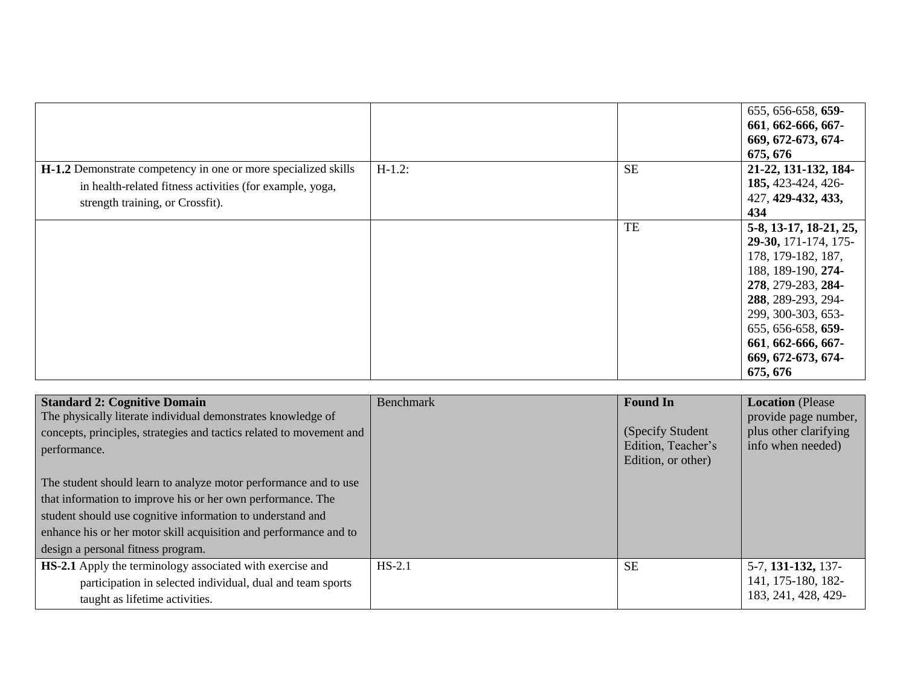|                                                                                                                                                                |           |           | 655, 656-658, 659-<br>661, 662-666, 667-<br>669, 672-673, 674-<br>675, 676                                                                                                                                                                 |
|----------------------------------------------------------------------------------------------------------------------------------------------------------------|-----------|-----------|--------------------------------------------------------------------------------------------------------------------------------------------------------------------------------------------------------------------------------------------|
| H-1.2 Demonstrate competency in one or more specialized skills<br>in health-related fitness activities (for example, yoga,<br>strength training, or Crossfit). | $H-1.2$ : | <b>SE</b> | 21-22, 131-132, 184-<br>185, 423-424, 426-<br>427, 429-432, 433,<br>434                                                                                                                                                                    |
|                                                                                                                                                                |           | TE        | 5-8, 13-17, 18-21, 25,<br>29-30, 171-174, 175-<br>178, 179-182, 187,<br>188, 189-190, 274-<br>278, 279-283, 284-<br>288, 289-293, 294-<br>299, 300-303, 653-<br>655, 656-658, 659-<br>661, 662-666, 667-<br>669, 672-673, 674-<br>675, 676 |

| <b>Standard 2: Cognitive Domain</b><br>The physically literate individual demonstrates knowledge of<br>concepts, principles, strategies and tactics related to movement and<br>performance.<br>The student should learn to analyze motor performance and to use<br>that information to improve his or her own performance. The<br>student should use cognitive information to understand and<br>enhance his or her motor skill acquisition and performance and to<br>design a personal fitness program. | Benchmark | <b>Found In</b><br>(Specify Student)<br>Edition, Teacher's<br>Edition, or other) | <b>Location</b> (Please<br>provide page number,<br>plus other clarifying<br>info when needed) |
|---------------------------------------------------------------------------------------------------------------------------------------------------------------------------------------------------------------------------------------------------------------------------------------------------------------------------------------------------------------------------------------------------------------------------------------------------------------------------------------------------------|-----------|----------------------------------------------------------------------------------|-----------------------------------------------------------------------------------------------|
| HS-2.1 Apply the terminology associated with exercise and<br>participation in selected individual, dual and team sports<br>taught as lifetime activities.                                                                                                                                                                                                                                                                                                                                               | $HS-2.1$  | <b>SE</b>                                                                        | 5-7, 131-132, 137-<br>141, 175-180, 182-<br>183, 241, 428, 429-                               |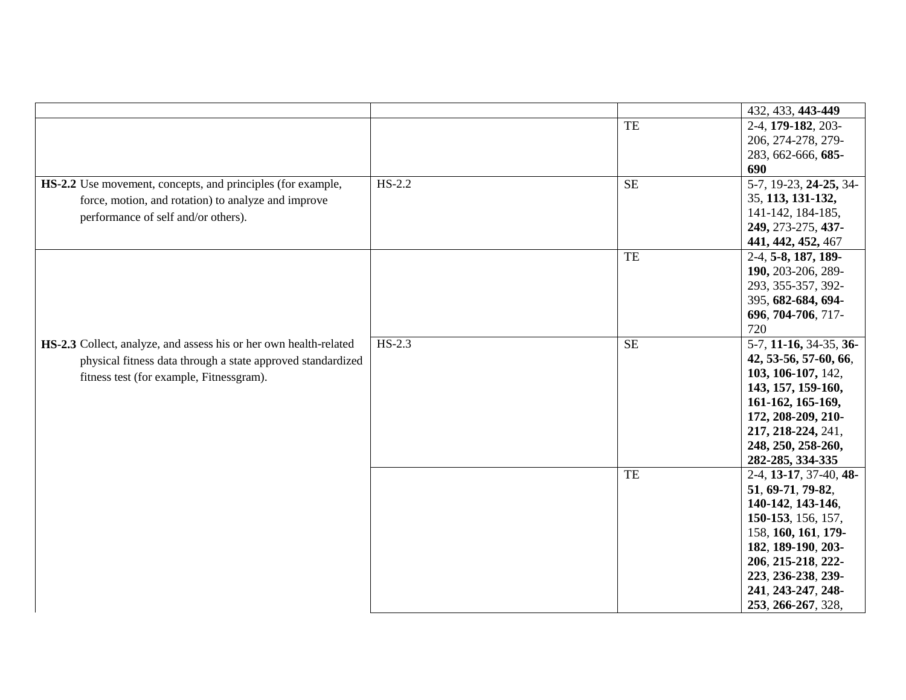|                                                                   |          |                        | 432, 433, 443-449         |
|-------------------------------------------------------------------|----------|------------------------|---------------------------|
|                                                                   |          | TE                     | 2-4, 179-182, 203-        |
|                                                                   |          |                        | 206, 274-278, 279-        |
|                                                                   |          |                        | 283, 662-666, 685-        |
|                                                                   |          |                        | 690                       |
| HS-2.2 Use movement, concepts, and principles (for example,       | $HS-2.2$ | $\overline{\text{SE}}$ | 5-7, 19-23, 24-25, 34-    |
| force, motion, and rotation) to analyze and improve               |          |                        | 35, 113, 131-132,         |
| performance of self and/or others).                               |          |                        | 141-142, 184-185,         |
|                                                                   |          |                        | 249, 273-275, 437-        |
|                                                                   |          |                        | 441, 442, 452, 467        |
|                                                                   |          | TE                     | 2-4, 5-8, 187, 189-       |
|                                                                   |          |                        | 190, 203-206, 289-        |
|                                                                   |          |                        | 293, 355-357, 392-        |
|                                                                   |          |                        | 395, 682-684, 694-        |
|                                                                   |          |                        | 696, 704-706, 717-        |
|                                                                   |          |                        | 720                       |
| HS-2.3 Collect, analyze, and assess his or her own health-related | $HS-2.3$ | <b>SE</b>              | 5-7, 11-16, 34-35, 36-    |
| physical fitness data through a state approved standardized       |          |                        | 42, 53-56, 57-60, 66,     |
| fitness test (for example, Fitnessgram).                          |          |                        | 103, 106-107, 142,        |
|                                                                   |          |                        | 143, 157, 159-160,        |
|                                                                   |          |                        | 161-162, 165-169,         |
|                                                                   |          |                        | 172, 208-209, 210-        |
|                                                                   |          |                        | 217, 218-224, 241,        |
|                                                                   |          |                        | 248, 250, 258-260,        |
|                                                                   |          |                        | 282-285, 334-335          |
|                                                                   |          | TE                     | $2-4$ , 13-17, 37-40, 48- |
|                                                                   |          |                        | 51, 69-71, 79-82,         |
|                                                                   |          |                        | 140-142, 143-146,         |
|                                                                   |          |                        | 150-153, 156, 157,        |
|                                                                   |          |                        | 158, 160, 161, 179-       |
|                                                                   |          |                        | 182, 189-190, 203-        |
|                                                                   |          |                        | 206, 215-218, 222-        |
|                                                                   |          |                        | 223, 236-238, 239-        |
|                                                                   |          |                        | 241, 243-247, 248-        |
|                                                                   |          |                        | 253, 266-267, 328,        |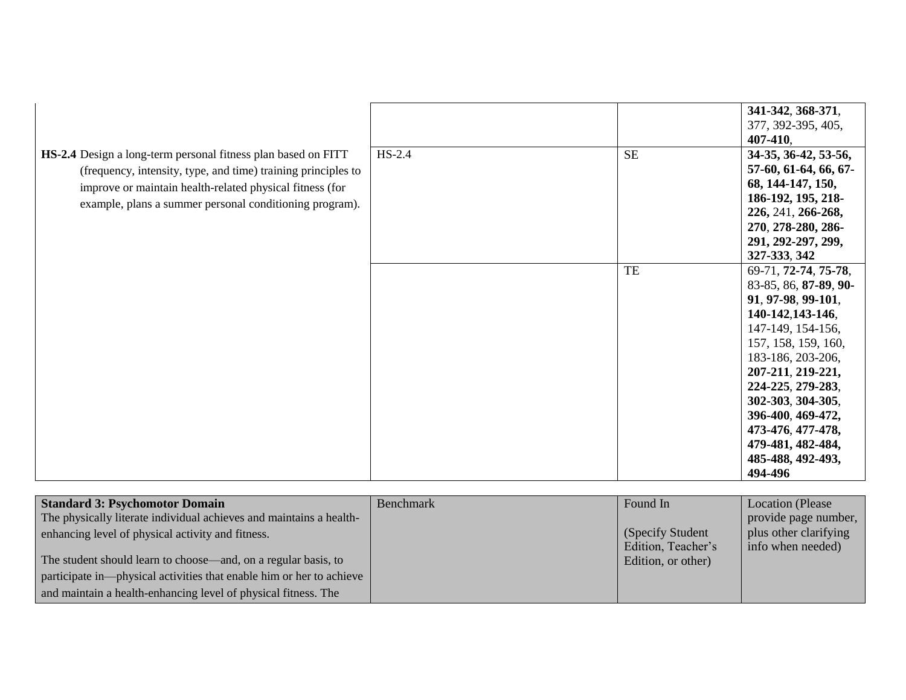|                                                                                                                                                                                                                                                       |          |                            | 341-342, 368-371,<br>377, 392-395, 405,<br>407-410,                                                                                                                        |
|-------------------------------------------------------------------------------------------------------------------------------------------------------------------------------------------------------------------------------------------------------|----------|----------------------------|----------------------------------------------------------------------------------------------------------------------------------------------------------------------------|
| HS-2.4 Design a long-term personal fitness plan based on FITT<br>(frequency, intensity, type, and time) training principles to<br>improve or maintain health-related physical fitness (for<br>example, plans a summer personal conditioning program). | $HS-2.4$ | <b>SE</b>                  | 34-35, 36-42, 53-56,<br>57-60, 61-64, 66, 67-<br>68, 144-147, 150,<br>186-192, 195, 218-<br>226, 241, 266-268,<br>270, 278-280, 286-<br>291, 292-297, 299,<br>327-333, 342 |
|                                                                                                                                                                                                                                                       |          | $\ensuremath{\mathsf{TE}}$ | 69-71, 72-74, 75-78,<br>83-85, 86, 87-89, 90-<br>91, 97-98, 99-101,<br>140-142,143-146,<br>147-149, 154-156,<br>157, 158, 159, 160,<br>183-186, 203-206,                   |
|                                                                                                                                                                                                                                                       |          |                            | 207-211, 219-221,<br>224-225, 279-283,<br>302-303, 304-305,<br>396-400, 469-472,<br>473-476, 477-478,<br>479-481, 482-484,<br>485-488, 492-493,<br>494-496                 |

| <b>Standard 3: Psychomotor Domain</b>                                | <b>Benchmark</b> | Found In           | Location (Please      |
|----------------------------------------------------------------------|------------------|--------------------|-----------------------|
| The physically literate individual achieves and maintains a health-  |                  |                    | provide page number,  |
| enhancing level of physical activity and fitness.                    |                  | (Specify Student)  | plus other clarifying |
|                                                                      |                  | Edition, Teacher's | info when needed)     |
| The student should learn to choose—and, on a regular basis, to       |                  | Edition, or other) |                       |
| participate in—physical activities that enable him or her to achieve |                  |                    |                       |
| and maintain a health-enhancing level of physical fitness. The       |                  |                    |                       |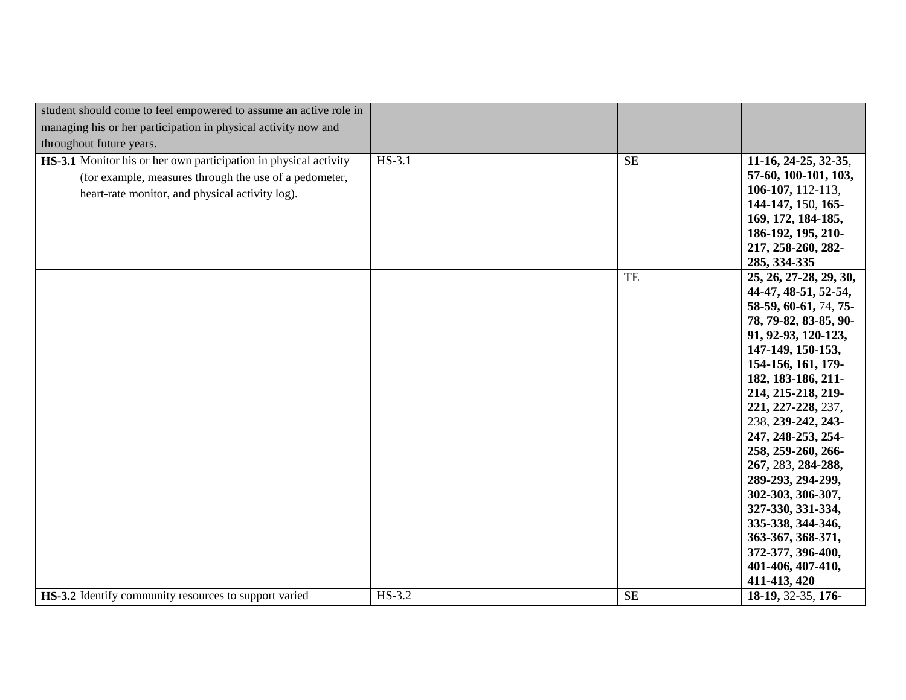| student should come to feel empowered to assume an active role in       |          |           |                                        |
|-------------------------------------------------------------------------|----------|-----------|----------------------------------------|
| managing his or her participation in physical activity now and          |          |           |                                        |
| throughout future years.                                                |          |           |                                        |
| <b>HS-3.1</b> Monitor his or her own participation in physical activity | $HS-3.1$ | <b>SE</b> | 11-16, 24-25, 32-35,                   |
| (for example, measures through the use of a pedometer,                  |          |           | 57-60, 100-101, 103,                   |
| heart-rate monitor, and physical activity log).                         |          |           | 106-107, 112-113,                      |
|                                                                         |          |           | 144-147, 150, 165-                     |
|                                                                         |          |           | 169, 172, 184-185,                     |
|                                                                         |          |           | 186-192, 195, 210-                     |
|                                                                         |          |           | 217, 258-260, 282-                     |
|                                                                         |          |           | 285, 334-335                           |
|                                                                         |          | TE        | 25, 26, 27-28, 29, 30,                 |
|                                                                         |          |           | 44-47, 48-51, 52-54,                   |
|                                                                         |          |           | 58-59, 60-61, 74, 75-                  |
|                                                                         |          |           | 78, 79-82, 83-85, 90-                  |
|                                                                         |          |           | 91, 92-93, 120-123,                    |
|                                                                         |          |           | 147-149, 150-153,                      |
|                                                                         |          |           | 154-156, 161, 179-                     |
|                                                                         |          |           | 182, 183-186, 211-                     |
|                                                                         |          |           | 214, 215-218, 219-                     |
|                                                                         |          |           | 221, 227-228, 237,                     |
|                                                                         |          |           | 238, 239-242, 243-                     |
|                                                                         |          |           | 247, 248-253, 254-                     |
|                                                                         |          |           | 258, 259-260, 266-                     |
|                                                                         |          |           | 267, 283, 284-288,                     |
|                                                                         |          |           | 289-293, 294-299,                      |
|                                                                         |          |           | 302-303, 306-307,                      |
|                                                                         |          |           | 327-330, 331-334,                      |
|                                                                         |          |           | 335-338, 344-346,                      |
|                                                                         |          |           | 363-367, 368-371,<br>372-377, 396-400, |
|                                                                         |          |           | 401-406, 407-410,                      |
|                                                                         |          |           | 411-413, 420                           |
| HS-3.2 Identify community resources to support varied                   | HS-3.2   | SE        | 18-19, 32-35, 176-                     |
|                                                                         |          |           |                                        |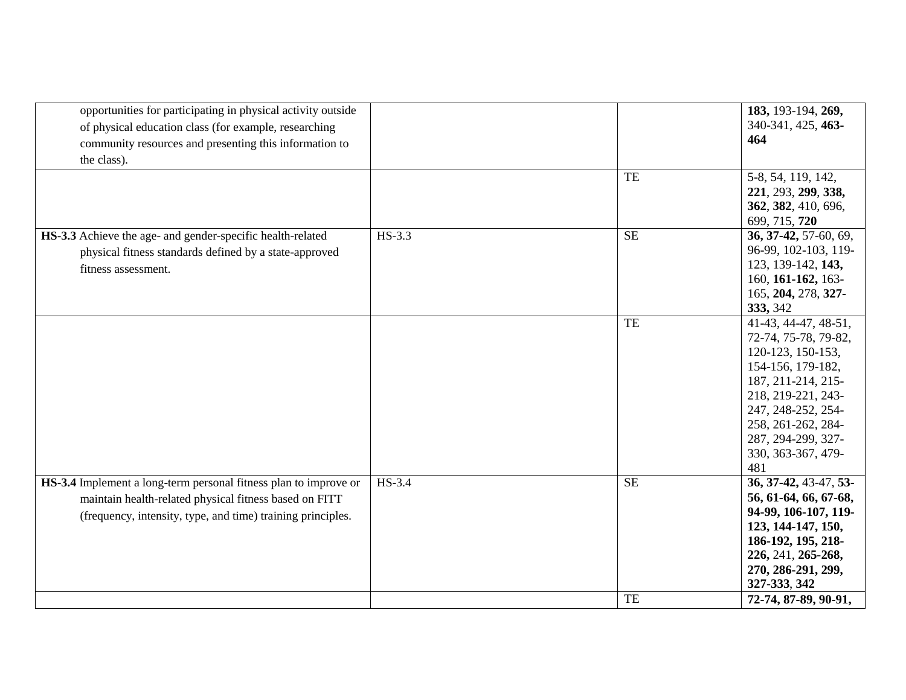| opportunities for participating in physical activity outside     |          |           | 183, 193-194, 269,    |
|------------------------------------------------------------------|----------|-----------|-----------------------|
| of physical education class (for example, researching            |          |           | 340-341, 425, 463-    |
| community resources and presenting this information to           |          |           | 464                   |
| the class).                                                      |          |           |                       |
|                                                                  |          | TE        | 5-8, 54, 119, 142,    |
|                                                                  |          |           | 221, 293, 299, 338,   |
|                                                                  |          |           | 362, 382, 410, 696,   |
|                                                                  |          |           | 699, 715, 720         |
| HS-3.3 Achieve the age- and gender-specific health-related       | $HS-3.3$ | SE        | 36, 37-42, 57-60, 69, |
| physical fitness standards defined by a state-approved           |          |           | 96-99, 102-103, 119-  |
| fitness assessment.                                              |          |           | 123, 139-142, 143,    |
|                                                                  |          |           | 160, 161-162, 163-    |
|                                                                  |          |           | 165, 204, 278, 327-   |
|                                                                  |          |           | 333, 342              |
|                                                                  |          | TE        | 41-43, 44-47, 48-51,  |
|                                                                  |          |           | 72-74, 75-78, 79-82,  |
|                                                                  |          |           | 120-123, 150-153,     |
|                                                                  |          |           | 154-156, 179-182,     |
|                                                                  |          |           | 187, 211-214, 215-    |
|                                                                  |          |           | 218, 219-221, 243-    |
|                                                                  |          |           | 247, 248-252, 254-    |
|                                                                  |          |           | 258, 261-262, 284-    |
|                                                                  |          |           | 287, 294-299, 327-    |
|                                                                  |          |           | 330, 363-367, 479-    |
|                                                                  |          |           | 481                   |
| HS-3.4 Implement a long-term personal fitness plan to improve or | HS-3.4   | <b>SE</b> | 36, 37-42, 43-47, 53- |
| maintain health-related physical fitness based on FITT           |          |           | 56, 61-64, 66, 67-68, |
| (frequency, intensity, type, and time) training principles.      |          |           | 94-99, 106-107, 119-  |
|                                                                  |          |           | 123, 144-147, 150,    |
|                                                                  |          |           | 186-192, 195, 218-    |
|                                                                  |          |           | 226, 241, 265-268,    |
|                                                                  |          |           | 270, 286-291, 299,    |
|                                                                  |          |           | 327-333, 342          |
|                                                                  |          | TE        | 72-74, 87-89, 90-91,  |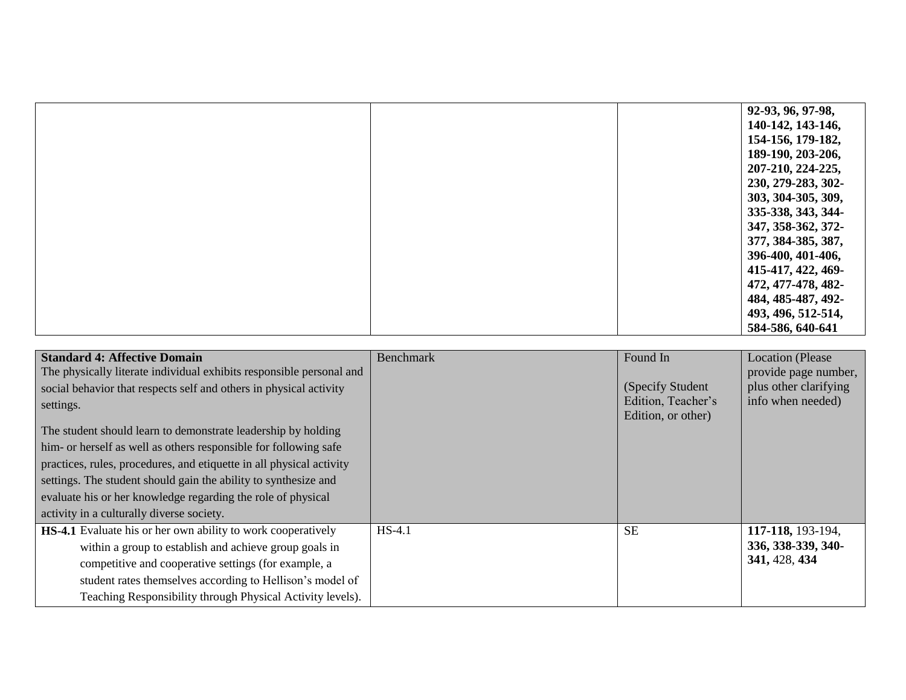|  | 92-93, 96, 97-98,  |
|--|--------------------|
|  | 140-142, 143-146,  |
|  | 154-156, 179-182,  |
|  | 189-190, 203-206,  |
|  | 207-210, 224-225,  |
|  | 230, 279-283, 302- |
|  | 303, 304-305, 309, |
|  | 335-338, 343, 344- |
|  | 347, 358-362, 372- |
|  | 377, 384-385, 387, |
|  | 396-400, 401-406,  |
|  | 415-417, 422, 469- |
|  | 472, 477-478, 482- |
|  | 484, 485-487, 492- |
|  | 493, 496, 512-514, |
|  | 584-586, 640-641   |

| <b>Standard 4: Affective Domain</b><br>The physically literate individual exhibits responsible personal and<br>social behavior that respects self and others in physical activity<br>settings.<br>The student should learn to demonstrate leadership by holding<br>him- or herself as well as others responsible for following safe<br>practices, rules, procedures, and etiquette in all physical activity<br>settings. The student should gain the ability to synthesize and<br>evaluate his or her knowledge regarding the role of physical<br>activity in a culturally diverse society. | <b>Benchmark</b> | Found In<br>(Specify Student)<br>Edition, Teacher's<br>Edition, or other) | <b>Location</b> (Please<br>provide page number,<br>plus other clarifying<br>info when needed) |
|---------------------------------------------------------------------------------------------------------------------------------------------------------------------------------------------------------------------------------------------------------------------------------------------------------------------------------------------------------------------------------------------------------------------------------------------------------------------------------------------------------------------------------------------------------------------------------------------|------------------|---------------------------------------------------------------------------|-----------------------------------------------------------------------------------------------|
| HS-4.1 Evaluate his or her own ability to work cooperatively<br>within a group to establish and achieve group goals in<br>competitive and cooperative settings (for example, a<br>student rates themselves according to Hellison's model of<br>Teaching Responsibility through Physical Activity levels).                                                                                                                                                                                                                                                                                   | $HS-4.1$         | <b>SE</b>                                                                 | 117-118, 193-194,<br>336, 338-339, 340-<br>341, 428, 434                                      |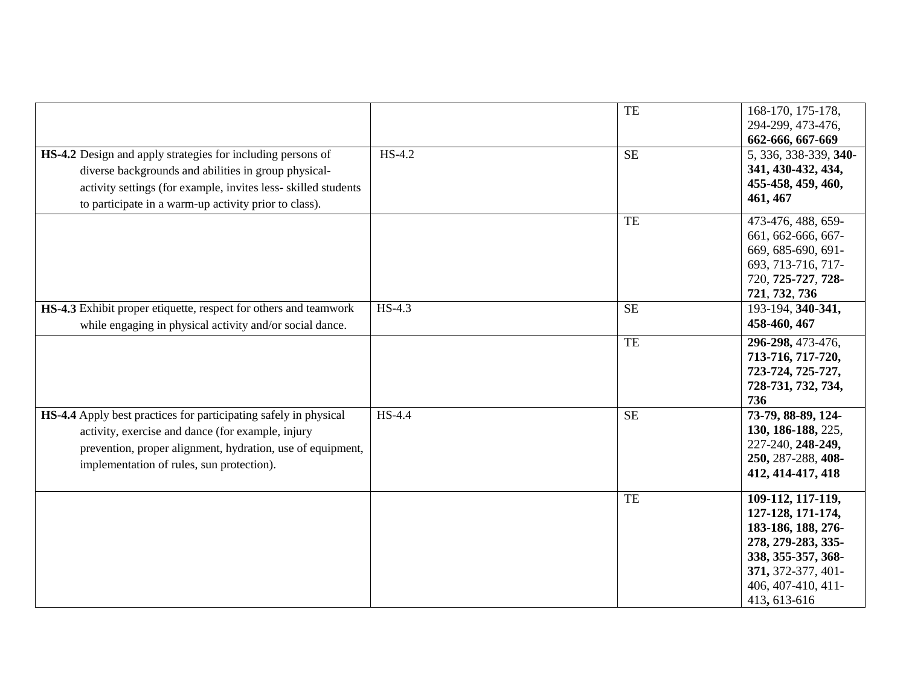|                                                                                                                                                                                                                                                      |          | TE        | 168-170, 175-178,<br>294-299, 473-476,                                                                                                                               |
|------------------------------------------------------------------------------------------------------------------------------------------------------------------------------------------------------------------------------------------------------|----------|-----------|----------------------------------------------------------------------------------------------------------------------------------------------------------------------|
|                                                                                                                                                                                                                                                      |          |           | 662-666, 667-669                                                                                                                                                     |
| <b>HS-4.2</b> Design and apply strategies for including persons of<br>diverse backgrounds and abilities in group physical-<br>activity settings (for example, invites less-skilled students<br>to participate in a warm-up activity prior to class). | $HS-4.2$ | <b>SE</b> | 5, 336, 338-339, 340-<br>341, 430-432, 434,<br>455-458, 459, 460,<br>461, 467                                                                                        |
|                                                                                                                                                                                                                                                      |          | TE        | 473-476, 488, 659-<br>661, 662-666, 667-<br>669, 685-690, 691-<br>693, 713-716, 717-<br>720, 725-727, 728-<br>721, 732, 736                                          |
| HS-4.3 Exhibit proper etiquette, respect for others and teamwork<br>while engaging in physical activity and/or social dance.                                                                                                                         | $HS-4.3$ | <b>SE</b> | 193-194, 340-341,<br>458-460, 467                                                                                                                                    |
|                                                                                                                                                                                                                                                      |          | TE        | 296-298, 473-476,<br>713-716, 717-720,<br>723-724, 725-727,<br>728-731, 732, 734,<br>736                                                                             |
| <b>HS-4.4</b> Apply best practices for participating safely in physical<br>activity, exercise and dance (for example, injury<br>prevention, proper alignment, hydration, use of equipment,<br>implementation of rules, sun protection).              | HS-4.4   | <b>SE</b> | $\overline{73}$ -79, 88-89, 124-<br>130, 186-188, 225,<br>227-240, 248-249,<br>250, 287-288, 408-<br>412, 414-417, 418                                               |
|                                                                                                                                                                                                                                                      |          | TE        | 109-112, 117-119,<br>127-128, 171-174,<br>183-186, 188, 276-<br>278, 279-283, 335-<br>338, 355-357, 368-<br>371, 372-377, 401-<br>406, 407-410, 411-<br>413, 613-616 |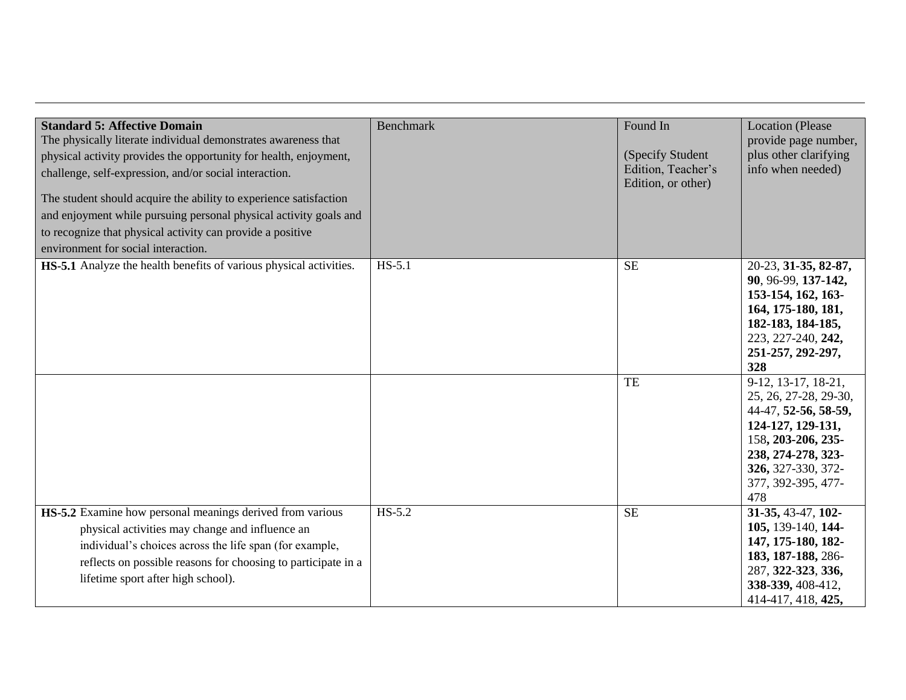| <b>Standard 5: Affective Domain</b><br>The physically literate individual demonstrates awareness that<br>physical activity provides the opportunity for health, enjoyment,<br>challenge, self-expression, and/or social interaction.                                                  | <b>Benchmark</b> | Found In<br>(Specify Student<br>Edition, Teacher's | <b>Location</b> (Please<br>provide page number,<br>plus other clarifying<br>info when needed)                                                                                            |
|---------------------------------------------------------------------------------------------------------------------------------------------------------------------------------------------------------------------------------------------------------------------------------------|------------------|----------------------------------------------------|------------------------------------------------------------------------------------------------------------------------------------------------------------------------------------------|
| The student should acquire the ability to experience satisfaction<br>and enjoyment while pursuing personal physical activity goals and<br>to recognize that physical activity can provide a positive<br>environment for social interaction.                                           |                  | Edition, or other)                                 |                                                                                                                                                                                          |
| <b>HS-5.1</b> Analyze the health benefits of various physical activities.                                                                                                                                                                                                             | $HS-5.1$         | <b>SE</b>                                          | 20-23, 31-35, 82-87,<br>90, 96-99, 137-142,<br>153-154, 162, 163-<br>164, 175-180, 181,<br>182-183, 184-185,<br>223, 227-240, 242,<br>251-257, 292-297,<br>328                           |
|                                                                                                                                                                                                                                                                                       |                  | TE                                                 | 9-12, 13-17, 18-21,<br>25, 26, 27-28, 29-30,<br>44-47, 52-56, 58-59,<br>124-127, 129-131,<br>158, 203-206, 235-<br>238, 274-278, 323-<br>326, 327-330, 372-<br>377, 392-395, 477-<br>478 |
| <b>HS-5.2</b> Examine how personal meanings derived from various<br>physical activities may change and influence an<br>individual's choices across the life span (for example,<br>reflects on possible reasons for choosing to participate in a<br>lifetime sport after high school). | $HS-5.2$         | <b>SE</b>                                          | 31-35, 43-47, 102-<br>105, 139-140, 144-<br>147, 175-180, 182-<br>183, 187-188, 286-<br>287, 322-323, 336,<br>338-339, 408-412,<br>414-417, 418, 425,                                    |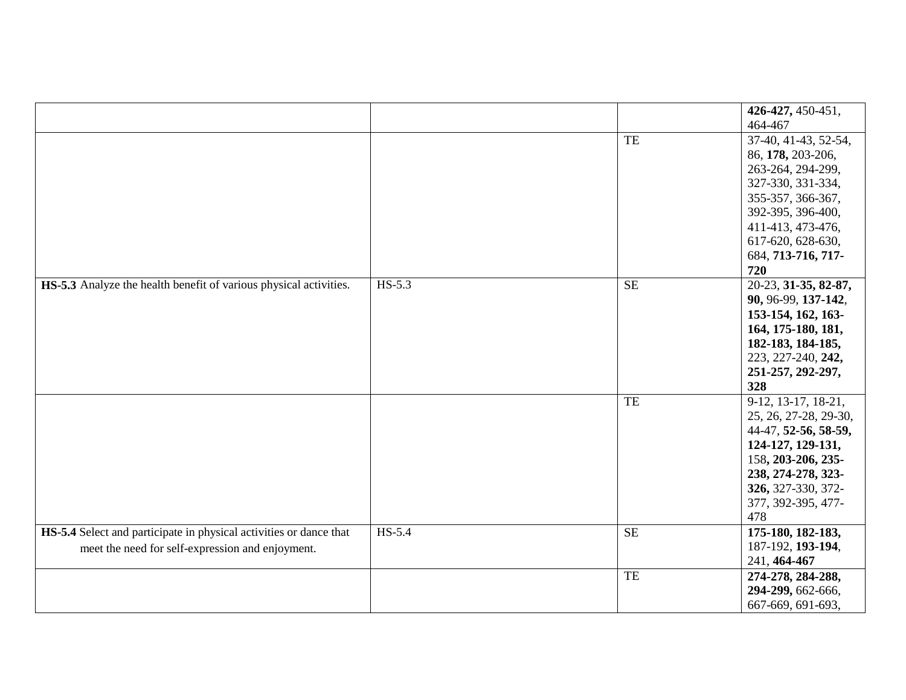|                                                                    |          |                        | 426-427, 450-451,      |
|--------------------------------------------------------------------|----------|------------------------|------------------------|
|                                                                    |          |                        | 464-467                |
|                                                                    |          | TE                     | 37-40, 41-43, 52-54,   |
|                                                                    |          |                        | 86, 178, 203-206,      |
|                                                                    |          |                        | 263-264, 294-299,      |
|                                                                    |          |                        | 327-330, 331-334,      |
|                                                                    |          |                        | 355-357, 366-367,      |
|                                                                    |          |                        | 392-395, 396-400,      |
|                                                                    |          |                        | 411-413, 473-476,      |
|                                                                    |          |                        | 617-620, 628-630,      |
|                                                                    |          |                        | 684, 713-716, 717-     |
|                                                                    |          |                        | 720                    |
| HS-5.3 Analyze the health benefit of various physical activities.  | $HS-5.3$ | $\overline{\text{SE}}$ | $20-23, 31-35, 82-87,$ |
|                                                                    |          |                        | 90, 96-99, 137-142,    |
|                                                                    |          |                        | 153-154, 162, 163-     |
|                                                                    |          |                        | 164, 175-180, 181,     |
|                                                                    |          |                        | 182-183, 184-185,      |
|                                                                    |          |                        | 223, 227-240, 242,     |
|                                                                    |          |                        | 251-257, 292-297,      |
|                                                                    |          |                        | 328                    |
|                                                                    |          | TE                     | 9-12, 13-17, 18-21,    |
|                                                                    |          |                        | 25, 26, 27-28, 29-30,  |
|                                                                    |          |                        | 44-47, 52-56, 58-59,   |
|                                                                    |          |                        | 124-127, 129-131,      |
|                                                                    |          |                        | 158, 203-206, 235-     |
|                                                                    |          |                        | 238, 274-278, 323-     |
|                                                                    |          |                        | 326, 327-330, 372-     |
|                                                                    |          |                        | 377, 392-395, 477-     |
|                                                                    |          |                        | 478                    |
| HS-5.4 Select and participate in physical activities or dance that | $HS-5.4$ | <b>SE</b>              | 175-180, 182-183,      |
| meet the need for self-expression and enjoyment.                   |          |                        | 187-192, 193-194,      |
|                                                                    |          |                        | 241, 464-467           |
|                                                                    |          | TE                     | 274-278, 284-288,      |
|                                                                    |          |                        | 294-299, 662-666,      |
|                                                                    |          |                        | 667-669, 691-693,      |